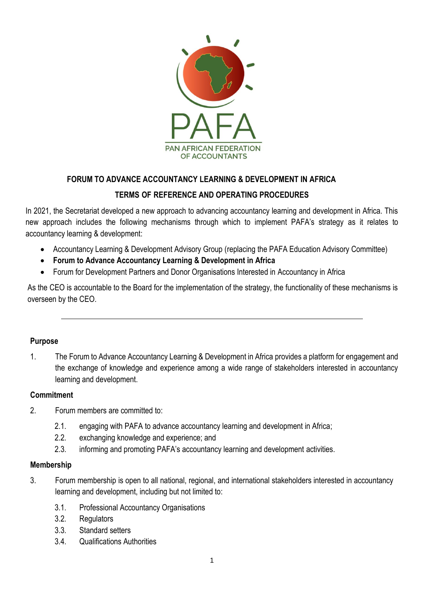

# **FORUM TO ADVANCE ACCOUNTANCY LEARNING & DEVELOPMENT IN AFRICA**

## **TERMS OF REFERENCE AND OPERATING PROCEDURES**

In 2021, the Secretariat developed a new approach to advancing accountancy learning and development in Africa. This new approach includes the following mechanisms through which to implement PAFA's strategy as it relates to accountancy learning & development:

- Accountancy Learning & Development Advisory Group (replacing the PAFA Education Advisory Committee)
- **Forum to Advance Accountancy Learning & Development in Africa**
- Forum for Development Partners and Donor Organisations Interested in Accountancy in Africa

As the CEO is accountable to the Board for the implementation of the strategy, the functionality of these mechanisms is overseen by the CEO.

#### **Purpose**

1. The Forum to Advance Accountancy Learning & Development in Africa provides a platform for engagement and the exchange of knowledge and experience among a wide range of stakeholders interested in accountancy learning and development.

#### **Commitment**

- 2. Forum members are committed to:
	- 2.1. engaging with PAFA to advance accountancy learning and development in Africa;
	- 2.2. exchanging knowledge and experience; and
	- 2.3. informing and promoting PAFA's accountancy learning and development activities.

#### **Membership**

- 3. Forum membership is open to all national, regional, and international stakeholders interested in accountancy learning and development, including but not limited to:
	- 3.1. Professional Accountancy Organisations
	- 3.2. Regulators
	- 3.3. Standard setters
	- 3.4. Qualifications Authorities